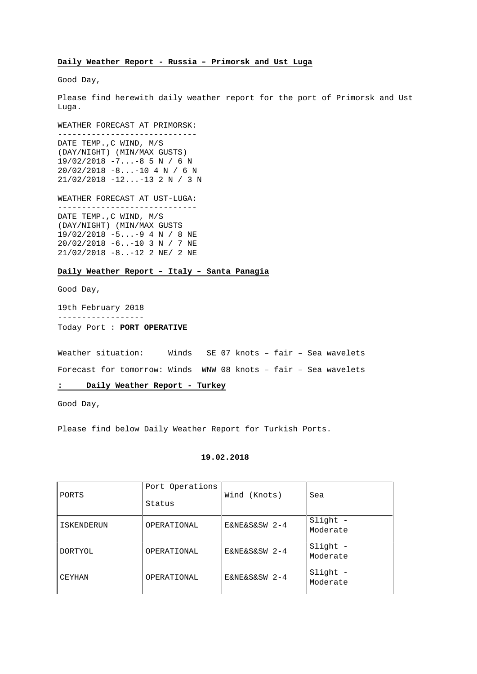#### **Daily Weather Report - Russia – Primorsk and Ust Luga**

Good Day,

Please find herewith daily weather report for the port of Primorsk and Ust Luga.

WEATHER FORECAST AT PRIMORSK:

----------------------------- DATE TEMP.,C WIND, M/S (DAY/NIGHT) (MIN/MAX GUSTS) 19/02/2018 -7...-8 5 N / 6 N 20/02/2018 -8...-10 4 N / 6 N 21/02/2018 -12...-13 2 N / 3 N

WEATHER FORECAST AT UST-LUGA:

----------------------------- DATE TEMP.,C WIND, M/S (DAY/NIGHT) (MIN/MAX GUSTS 19/02/2018 -5...-9 4 N / 8 NE 20/02/2018 -6..-10 3 N / 7 NE 21/02/2018 -8..-12 2 NE/ 2 NE

#### **Daily Weather Report – Italy – Santa Panagia**

Good Day,

19th February 2018 ------------------ Today Port : **PORT OPERATIVE**

Weather situation: Winds SE 07 knots – fair – Sea wavelets Forecast for tomorrow: Winds WNW 08 knots – fair – Sea wavelets

### **: Daily Weather Report - Turkey**

Good Day,

Please find below Daily Weather Report for Turkish Ports.

### **19.02.2018**

| PORTS             | Port Operations<br>Status | Wind (Knots)  | Sea                  |
|-------------------|---------------------------|---------------|----------------------|
| <b>ISKENDERUN</b> | OPERATIONAL               | E&NE&S&SW 2-4 | Slight -<br>Moderate |
| <b>DORTYOL</b>    | OPERATIONAL               | E&NE&S&SW 2-4 | Slight -<br>Moderate |
| <b>CEYHAN</b>     | OPERATIONAL               | E&NE&S&SW 2-4 | Slight<br>Moderate   |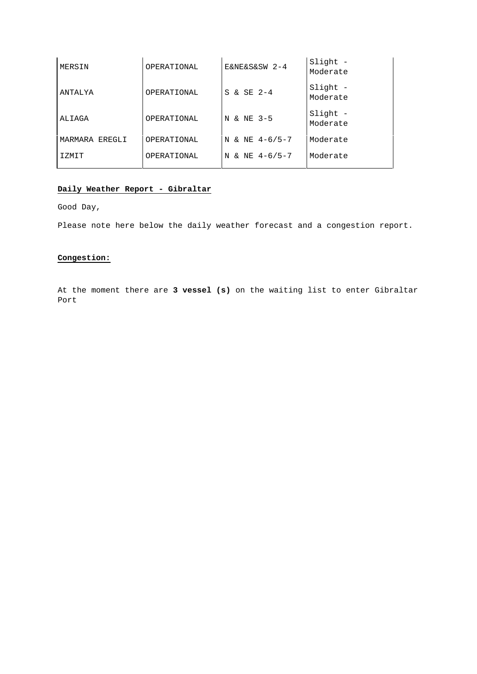| MERSIN         | OPERATIONAL | E&NE&S&SW 2-4    | Slight -<br>Moderate |
|----------------|-------------|------------------|----------------------|
| ANTALYA        | OPERATIONAL | S & SE 2-4       | Slight -<br>Moderate |
| ALIAGA         | OPERATIONAL | N & NE 3-5       | Slight -<br>Moderate |
| MARMARA EREGLI | OPERATIONAL | N & NE $4-6/5-7$ | Moderate             |
| T ZMTT         | OPERATIONAL | N & NE $4-6/5-7$ | Moderate             |
|                |             |                  |                      |

### **Daily Weather Report - Gibraltar**

Good Day,

Please note here below the daily weather forecast and a congestion report.

## **Congestion:**

At the moment there are **3 vessel (s)** on the waiting list to enter Gibraltar Port